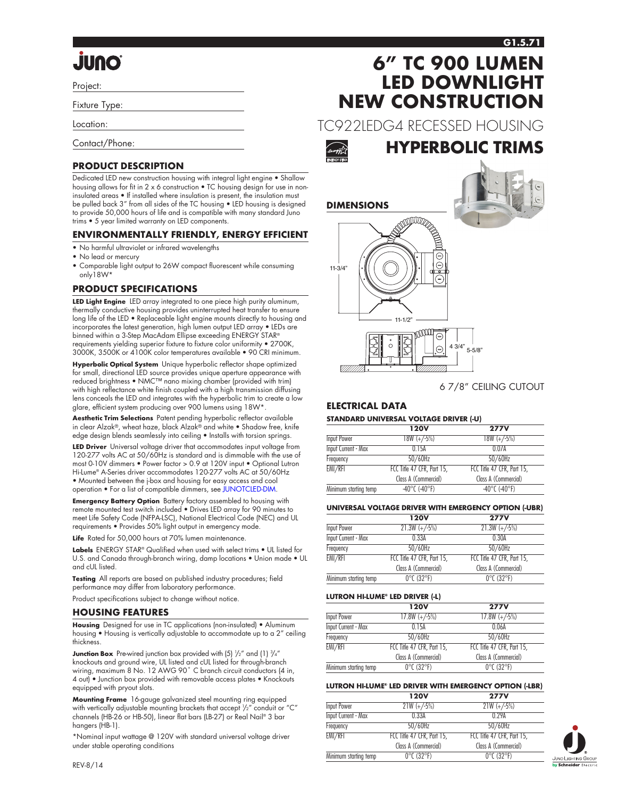# **Quul.**

Project:

Fixture Type:

Location:

Contact/Phone:

### **PRODUCT DESCRIPTION**

Dedicated LED new construction housing with integral light engine • Shallow housing allows for fit in 2 x 6 construction . TC housing design for use in noninsulated areas • If installed where insulation is present, the insulation must be pulled back 3" from all sides of the TC housing • LED housing is designed to provide 50,000 hours of life and is compatible with many standard Juno trims • 5 year limited warranty on LED components.

### **ENVIRONMENTALLY FRIENDLY, ENERGY EFFICIENT**

- No harmful ultraviolet or infrared wavelengths
- No lead or mercury
- Comparable light output to 26W compact fluorescent while consuming only18W\*

### **PRODUCT SPECIFICATIONS**

**LED Light Engine** LED array integrated to one piece high purity aluminum, thermally conductive housing provides uninterrupted heat transfer to ensure long life of the LED • Replaceable light engine mounts directly to housing and incorporates the latest generation, high lumen output LED array • LEDs are binned within a 3-Step MacAdam Ellipse exceeding ENERGY STAR® requirements yielding superior fixture to fixture color uniformity • 2700K, 3000K, 3500K or 4100K color temperatures available • 90 CRI minimum.

**Hyperbolic Optical System** Unique hyperbolic reflector shape optimized for small, directional LED source provides unique aperture appearance with reduced brightness • NMC™ nano mixing chamber (provided with trim) with high reflectance white finish coupled with a high transmission diffusing lens conceals the LED and integrates with the hyperbolic trim to create a low glare, efficient system producing over 900 lumens using 18W\*.

**Aesthetic Trim Selections** Patent pending hyperbolic reflector available in clear Alzak®, wheat haze, black Alzak® and white • Shadow free, knife edge design blends seamlessly into ceiling • Installs with torsion springs.

**LED Driver** Universal voltage driver that accommodates input voltage from 120-277 volts AC at 50/60Hz is standard and is dimmable with the use of most 0-10V dimmers • Power factor > 0.9 at 120V input • Optional Lutron Hi-Lume® A-Series driver accommodates 120-277 volts AC at 50/60Hz • Mounted between the j-box and housing for easy access and cool operation • For a list of compatible dimmers, see [JUNOTCLED-DIM.](http://www.junolightinggroup.com/Attachments/images/content/SpecSheets/JUNOTCLED-DIM.pdf)

**Emergency Battery Option** Battery factory assembled to housing with remote mounted test switch included • Drives LED array for 90 minutes to meet Life Safety Code (NFPA-LSC), National Electrical Code (NEC) and UL requirements • Provides 50% light output in emergency mode.

Life Rated for 50,000 hours at 70% lumen maintenance.

**Labels** ENERGY STAR® Qualified when used with select trims • UL listed for U.S. and Canada through-branch wiring, damp locations • Union made • UL and cUL listed.

**Testing** All reports are based on published industry procedures; field performance may differ from laboratory performance.

Product specifications subject to change without notice.

#### **HOUSING FEATURES**

**Housing** Designed for use in TC applications (non-insulated) • Aluminum housing • Housing is vertically adjustable to accommodate up to a 2" ceiling thickness.

**Junction Box** Pre-wired junction box provided with (5)  $\frac{1}{2}$ " and (1)  $\frac{3}{4}$ " knockouts and ground wire, UL listed and cUL listed for through-branch wiring, maximum 8 No. 12 AWG 90° C branch circuit conductors (4 in, 4 out) • Junction box provided with removable access plates • Knockouts equipped with pryout slots.

**Mounting Frame** 16-gauge galvanized steel mounting ring equipped with vertically adjustable mounting brackets that accept 1 /2" conduit or "C" channels (HB-26 or HB-50), linear flat bars (LB-27) or Real Nail® 3 bar hangers (HB-1).

\*Nominal input wattage @ 120V with standard universal voltage driver under stable operating conditions

# **6" TC 900 LUMEN LED DOWNLIGHT NEW CONSTRUCTION**

TC922LEDG4 RECESSED HOUSING



**HYPERBOLIC TRIMS**





6 7/8" CEILING CUTOUT

### **ELECTRICAL DATA**

#### **STANDARD UNIVERSAL VOLTAGE DRIVER (-U)**

|                            | <b>120V</b>                        | <b>277V</b>                        |
|----------------------------|------------------------------------|------------------------------------|
| Input Power                | $18W (+/-5%)$                      | $18W (+/-5%)$                      |
| <b>Input Current - Max</b> | 0.15A                              | 0.07A                              |
| Frequency                  | $50/60$ Hz                         | $50/60$ Hz                         |
| EMI/RFI                    | FCC Title 47 CFR, Part 15,         | FCC Title 47 CFR, Part 15,         |
|                            | Class A (Commercial)               | Class A (Commercial)               |
| Minimum starting temp      | $-40^{\circ}$ C ( $-40^{\circ}$ F) | $-40^{\circ}$ C ( $-40^{\circ}$ F) |

#### **UNIVERSAL VOLTAGE DRIVER WITH EMERGENCY OPTION (-UBR)**

|                       | <b>120V</b>                     | <b>277V</b>                     |
|-----------------------|---------------------------------|---------------------------------|
| Input Power           | $21.3W (+/-5%)$                 | $21.3W (+/-5%)$                 |
| Input Current - Max   | 0.33A                           | 0.30A                           |
| Frequency             | $50/60$ Hz                      | $50/60$ Hz                      |
| EMI/RFI               | FCC Title 47 CFR, Part 15,      | FCC Title 47 CFR, Part 15,      |
|                       | Class A (Commercial)            | Class A (Commercial)            |
| Minimum starting temp | $0^{\circ}$ C (32 $^{\circ}$ F) | $0^{\circ}$ C (32 $^{\circ}$ F) |

#### **LUTRON HI-LUME® LED DRIVER (-L)**

|                       | <b>120V</b>                     | <b>277V</b>                     |
|-----------------------|---------------------------------|---------------------------------|
| Input Power           | $17.8W (+/-5%)$                 | $17.8W (+/-5%)$                 |
| Input Current - Max   | 0.15A                           | 0.06A                           |
| Frequency             | $50/60$ Hz                      | $50/60$ Hz                      |
| EMI/RFI               | FCC Title 47 CFR, Part 15,      | FCC Title 47 CFR, Part 15,      |
|                       | Class A (Commercial)            | Class A (Commercial)            |
| Minimum starting temp | $0^{\circ}$ C (32 $^{\circ}$ F) | $0^{\circ}$ C (32 $^{\circ}$ F) |

#### **LUTRON HI-LUME® LED DRIVER WITH EMERGENCY OPTION (-LBR)**

|                            | <b>120V</b>                     | <b>277V</b>                     |
|----------------------------|---------------------------------|---------------------------------|
| Input Power                | $21W (+/-5%)$                   | $21W (+/-5%)$                   |
| <b>Input Current - Max</b> | 0.33A                           | 0.29A                           |
| Frequency                  | $50/60$ Hz                      | $50/60$ Hz                      |
| EMI/RFI                    | FCC Title 47 CFR, Part 15,      | FCC Title 47 CFR, Part 15,      |
|                            | Class A (Commercial)            | Class A (Commercial)            |
| Minimum starting temp      | $0^{\circ}$ C (32 $^{\circ}$ F) | $0^{\circ}$ C (32 $^{\circ}$ F) |